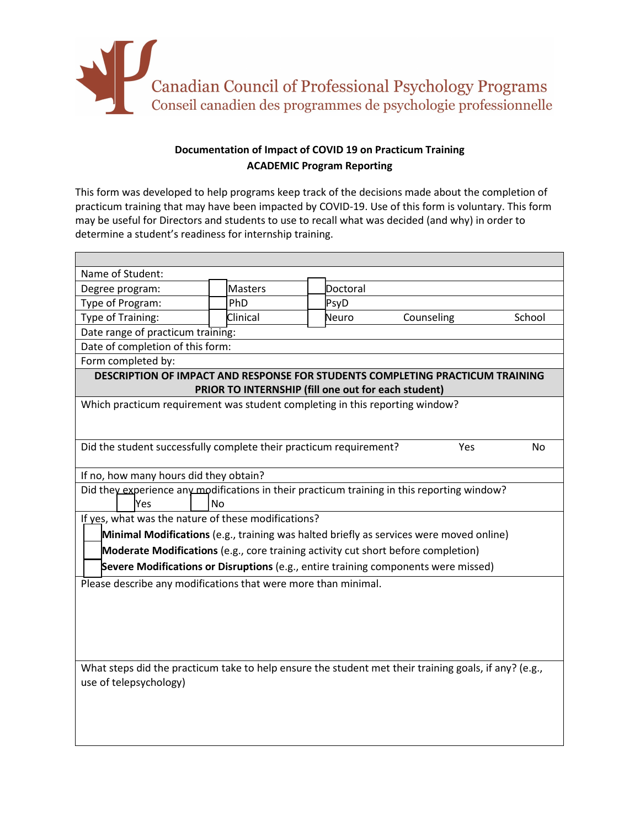

## **Documentation of Impact of COVID 19 on Practicum Training ACADEMIC Program Reporting**

This form was developed to help programs keep track of the decisions made about the completion of practicum training that may have been impacted by COVID-19. Use of this form is voluntary. This form may be useful for Directors and students to use to recall what was decided (and why) in order to determine a student's readiness for internship training.

| Name of Student:                                                                                      |           |          |  |          |            |  |        |  |
|-------------------------------------------------------------------------------------------------------|-----------|----------|--|----------|------------|--|--------|--|
| Degree program:                                                                                       |           | Masters  |  | Doctoral |            |  |        |  |
| Type of Program:                                                                                      |           | PhD      |  | PsyD     |            |  |        |  |
| Type of Training:                                                                                     |           | Clinical |  | Neuro    | Counseling |  | School |  |
| Date range of practicum training:                                                                     |           |          |  |          |            |  |        |  |
| Date of completion of this form:                                                                      |           |          |  |          |            |  |        |  |
| Form completed by:                                                                                    |           |          |  |          |            |  |        |  |
| DESCRIPTION OF IMPACT AND RESPONSE FOR STUDENTS COMPLETING PRACTICUM TRAINING                         |           |          |  |          |            |  |        |  |
| PRIOR TO INTERNSHIP (fill one out for each student)                                                   |           |          |  |          |            |  |        |  |
| Which practicum requirement was student completing in this reporting window?                          |           |          |  |          |            |  |        |  |
|                                                                                                       |           |          |  |          |            |  |        |  |
|                                                                                                       |           |          |  |          |            |  |        |  |
| Did the student successfully complete their practicum requirement?<br>Yes<br>No                       |           |          |  |          |            |  |        |  |
|                                                                                                       |           |          |  |          |            |  |        |  |
| If no, how many hours did they obtain?                                                                |           |          |  |          |            |  |        |  |
| Did they experience any modifications in their practicum training in this reporting window?           |           |          |  |          |            |  |        |  |
| Yes                                                                                                   | <b>No</b> |          |  |          |            |  |        |  |
| If yes, what was the nature of these modifications?                                                   |           |          |  |          |            |  |        |  |
| Minimal Modifications (e.g., training was halted briefly as services were moved online)               |           |          |  |          |            |  |        |  |
| Moderate Modifications (e.g., core training activity cut short before completion)                     |           |          |  |          |            |  |        |  |
| Severe Modifications or Disruptions (e.g., entire training components were missed)                    |           |          |  |          |            |  |        |  |
| Please describe any modifications that were more than minimal.                                        |           |          |  |          |            |  |        |  |
|                                                                                                       |           |          |  |          |            |  |        |  |
|                                                                                                       |           |          |  |          |            |  |        |  |
|                                                                                                       |           |          |  |          |            |  |        |  |
|                                                                                                       |           |          |  |          |            |  |        |  |
|                                                                                                       |           |          |  |          |            |  |        |  |
| What steps did the practicum take to help ensure the student met their training goals, if any? (e.g., |           |          |  |          |            |  |        |  |
| use of telepsychology)                                                                                |           |          |  |          |            |  |        |  |
|                                                                                                       |           |          |  |          |            |  |        |  |
|                                                                                                       |           |          |  |          |            |  |        |  |
|                                                                                                       |           |          |  |          |            |  |        |  |